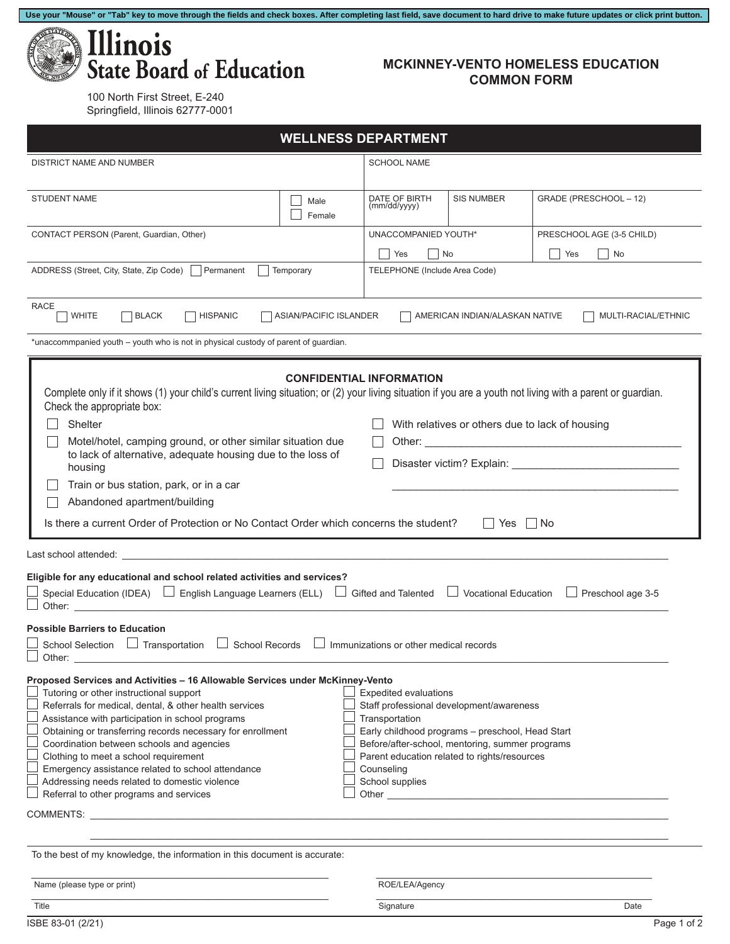

## **MCKINNEY-VENTO HOMELESS EDUCATION COMMON FORM**

100 North First Street, E-240 Springfield, Illinois 62777-0001

| <b>WELLNESS DEPARTMENT</b>                                                                                                                                                                                                                                                                                                                                                                                                                                                                                                                                                                                                                                                                                                                                                                                                                                                                                                                                                                                                                                                                                                                                                                                                         |                    |                                                                     |                   |                           |  |  |  |  |
|------------------------------------------------------------------------------------------------------------------------------------------------------------------------------------------------------------------------------------------------------------------------------------------------------------------------------------------------------------------------------------------------------------------------------------------------------------------------------------------------------------------------------------------------------------------------------------------------------------------------------------------------------------------------------------------------------------------------------------------------------------------------------------------------------------------------------------------------------------------------------------------------------------------------------------------------------------------------------------------------------------------------------------------------------------------------------------------------------------------------------------------------------------------------------------------------------------------------------------|--------------------|---------------------------------------------------------------------|-------------------|---------------------------|--|--|--|--|
| DISTRICT NAME AND NUMBER                                                                                                                                                                                                                                                                                                                                                                                                                                                                                                                                                                                                                                                                                                                                                                                                                                                                                                                                                                                                                                                                                                                                                                                                           | <b>SCHOOL NAME</b> |                                                                     |                   |                           |  |  |  |  |
| <b>STUDENT NAME</b>                                                                                                                                                                                                                                                                                                                                                                                                                                                                                                                                                                                                                                                                                                                                                                                                                                                                                                                                                                                                                                                                                                                                                                                                                | Male<br>Female     | DATE OF BIRTH<br>(mm/dd/yyyy)                                       | <b>SIS NUMBER</b> | GRADE (PRESCHOOL - 12)    |  |  |  |  |
| CONTACT PERSON (Parent, Guardian, Other)                                                                                                                                                                                                                                                                                                                                                                                                                                                                                                                                                                                                                                                                                                                                                                                                                                                                                                                                                                                                                                                                                                                                                                                           |                    | UNACCOMPANIED YOUTH*                                                |                   | PRESCHOOL AGE (3-5 CHILD) |  |  |  |  |
|                                                                                                                                                                                                                                                                                                                                                                                                                                                                                                                                                                                                                                                                                                                                                                                                                                                                                                                                                                                                                                                                                                                                                                                                                                    |                    | $\blacksquare$ No<br>$\Box$<br>Yes<br>  No<br>$\blacksquare$<br>Yes |                   |                           |  |  |  |  |
| ADDRESS (Street, City, State, Zip Code) Permanent<br>Temporary                                                                                                                                                                                                                                                                                                                                                                                                                                                                                                                                                                                                                                                                                                                                                                                                                                                                                                                                                                                                                                                                                                                                                                     |                    | TELEPHONE (Include Area Code)                                       |                   |                           |  |  |  |  |
| <b>RACE</b><br><b>WHITE</b><br><b>HISPANIC</b><br><b>BLACK</b><br>ASIAN/PACIFIC ISLANDER<br>AMERICAN INDIAN/ALASKAN NATIVE<br>MULTI-RACIAL/ETHNIC                                                                                                                                                                                                                                                                                                                                                                                                                                                                                                                                                                                                                                                                                                                                                                                                                                                                                                                                                                                                                                                                                  |                    |                                                                     |                   |                           |  |  |  |  |
| *unaccommpanied youth - youth who is not in physical custody of parent of guardian.                                                                                                                                                                                                                                                                                                                                                                                                                                                                                                                                                                                                                                                                                                                                                                                                                                                                                                                                                                                                                                                                                                                                                |                    |                                                                     |                   |                           |  |  |  |  |
| <b>CONFIDENTIAL INFORMATION</b><br>Complete only if it shows (1) your child's current living situation; or (2) your living situation if you are a youth not living with a parent or guardian.<br>Check the appropriate box:<br>Shelter<br>With relatives or others due to lack of housing<br>Motel/hotel, camping ground, or other similar situation due<br>to lack of alternative, adequate housing due to the loss of<br>housing<br>Train or bus station, park, or in a car<br>Abandoned apartment/building<br>Is there a current Order of Protection or No Contact Order which concerns the student?<br>∣No<br>Yes l                                                                                                                                                                                                                                                                                                                                                                                                                                                                                                                                                                                                            |                    |                                                                     |                   |                           |  |  |  |  |
| Last school attended: with a state of the state of the state of the state of the state of the state of the state of the state of the state of the state of the state of the state of the state of the state of the state of th<br>Eligible for any educational and school related activities and services?<br>Special Education (IDEA) $\Box$ English Language Learners (ELL) $\Box$ Gifted and Talented $\Box$ Vocational Education<br>Preschool age 3-5<br>$\Box$ Other: $\Box$                                                                                                                                                                                                                                                                                                                                                                                                                                                                                                                                                                                                                                                                                                                                                  |                    |                                                                     |                   |                           |  |  |  |  |
| <b>Possible Barriers to Education</b><br>School Selection   Transportation<br>$\Box$ School Records $\Box$ Immunizations or other medical records<br>$\Box$ Other:<br>Proposed Services and Activities - 16 Allowable Services under McKinney-Vento<br>Expedited evaluations<br>Tutoring or other instructional support<br>Referrals for medical, dental, & other health services<br>Staff professional development/awareness<br>Assistance with participation in school programs<br>Transportation<br>Obtaining or transferring records necessary for enrollment<br>Early childhood programs - preschool, Head Start<br>Coordination between schools and agencies<br>Before/after-school, mentoring, summer programs<br>Clothing to meet a school requirement<br>Parent education related to rights/resources<br>Emergency assistance related to school attendance<br>Counseling<br>Addressing needs related to domestic violence<br>School supplies<br>Referral to other programs and services<br>Other experiences are a series of the series of the series of the series of the series of the series of the series of the series of the series of the series of the series of the series of the series of the series of the se |                    |                                                                     |                   |                           |  |  |  |  |
| To the best of my knowledge, the information in this document is accurate:                                                                                                                                                                                                                                                                                                                                                                                                                                                                                                                                                                                                                                                                                                                                                                                                                                                                                                                                                                                                                                                                                                                                                         |                    |                                                                     |                   |                           |  |  |  |  |
| Name (please type or print)                                                                                                                                                                                                                                                                                                                                                                                                                                                                                                                                                                                                                                                                                                                                                                                                                                                                                                                                                                                                                                                                                                                                                                                                        |                    | ROE/LEA/Agency                                                      |                   |                           |  |  |  |  |
| Title                                                                                                                                                                                                                                                                                                                                                                                                                                                                                                                                                                                                                                                                                                                                                                                                                                                                                                                                                                                                                                                                                                                                                                                                                              |                    | Signature                                                           |                   | Date                      |  |  |  |  |

**Use your "Mouse" or "Tab" key to move through the fields and check boxes. After completing last field, save document to hard drive to make future updates or click print button.**